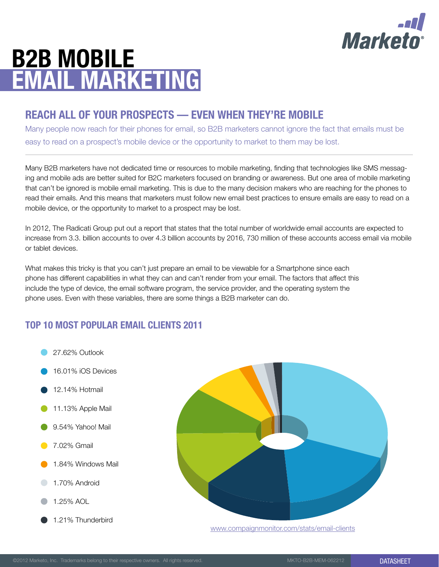

# B2B Mobile **EMAIL MARKETING**

## Reach All of your Prospects — Even When They're Mobile

Many people now reach for their phones for email, so B2B marketers cannot ignore the fact that emails must be easy to read on a prospect's mobile device or the opportunity to market to them may be lost.

Many B2B marketers have not dedicated time or resources to mobile marketing, finding that technologies like SMS messaging and mobile ads are better suited for B2C marketers focused on branding or awareness. But one area of mobile marketing that can't be ignored is mobile email marketing. This is due to the many decision makers who are reaching for the phones to read their emails. And this means that marketers must follow new email best practices to ensure emails are easy to read on a mobile device, or the opportunity to market to a prospect may be lost.

In 2012, The Radicati Group put out a report that states that the total number of worldwide email accounts are expected to increase from 3.3. billion accounts to over 4.3 billion accounts by 2016, 730 million of these accounts access email via mobile or tablet devices.

What makes this tricky is that you can't just prepare an email to be viewable for a Smartphone since each phone has different capabilities in what they can and can't render from your email. The factors that affect this include the type of device, the email software program, the service provider, and the operating system the phone uses. Even with these variables, there are some things a B2B marketer can do.

## Top 10 Most Popular Email Clients 2011





[www.compaignmonitor.com/stats/email-clients](http://www.compaignmonitor.com/stats/email-clients)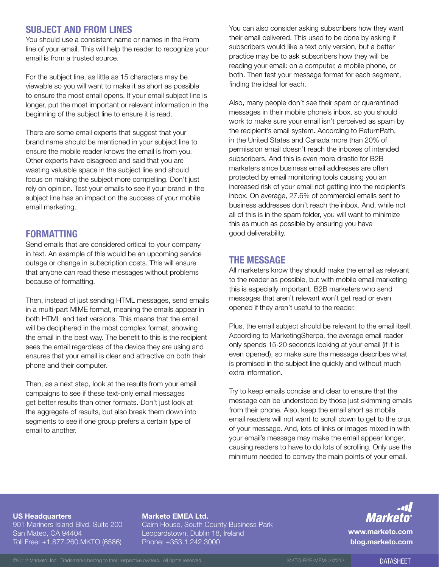## Subject and From Lines

You should use a consistent name or names in the From line of your email. This will help the reader to recognize your email is from a trusted source.

For the subject line, as little as 15 characters may be viewable so you will want to make it as short as possible to ensure the most email opens. If your email subject line is longer, put the most important or relevant information in the beginning of the subject line to ensure it is read.

There are some email experts that suggest that your brand name should be mentioned in your subject line to ensure the mobile reader knows the email is from you. Other experts have disagreed and said that you are wasting valuable space in the subject line and should focus on making the subject more compelling. Don't just rely on opinion. Test your emails to see if your brand in the subject line has an impact on the success of your mobile email marketing.

### **FORMATTING**

Send emails that are considered critical to your company in text. An example of this would be an upcoming service outage or change in subscription costs. This will ensure that anyone can read these messages without problems because of formatting.

Then, instead of just sending HTML messages, send emails in a multi-part MIME format, meaning the emails appear in both HTML and text versions. This means that the email will be deciphered in the most complex format, showing the email in the best way. The benefit to this is the recipient sees the email regardless of the device they are using and ensures that your email is clear and attractive on both their phone and their computer.

Then, as a next step, look at the results from your email campaigns to see if these text-only email messages get better results than other formats. Don't just look at the aggregate of results, but also break them down into segments to see if one group prefers a certain type of email to another.

You can also consider asking subscribers how they want their email delivered. This used to be done by asking if subscribers would like a text only version, but a better practice may be to ask subscribers how they will be reading your email: on a computer, a mobile phone, or both. Then test your message format for each segment, finding the ideal for each.

Also, many people don't see their spam or quarantined messages in their mobile phone's inbox, so you should work to make sure your email isn't perceived as spam by the recipient's email system. According to ReturnPath, in the United States and Canada more than 20% of permission email doesn't reach the inboxes of intended subscribers. And this is even more drastic for B2B marketers since business email addresses are often protected by email monitoring tools causing you an increased risk of your email not getting into the recipient's inbox. On average, 27.6% of commercial emails sent to business addresses don't reach the inbox. And, while not all of this is in the spam folder, you will want to minimize this as much as possible by ensuring you have good deliverability.

## The Message

All marketers know they should make the email as relevant to the reader as possible, but with mobile email marketing this is especially important. B2B marketers who send messages that aren't relevant won't get read or even opened if they aren't useful to the reader.

Plus, the email subject should be relevant to the email itself. According to MarketingSherpa, the average email reader only spends 15-20 seconds looking at your email (if it is even opened), so make sure the message describes what is promised in the subject line quickly and without much extra information.

Try to keep emails concise and clear to ensure that the message can be understood by those just skimming emails from their phone. Also, keep the email short as mobile email readers will not want to scroll down to get to the crux of your message. And, lots of links or images mixed in with your email's message may make the email appear longer, causing readers to have to do lots of scrolling. Only use the minimum needed to convey the main points of your email.

#### US Headquarters

901 Mariners Island Blyd. Suite 200 San Mateo, CA 94404 Toll Free: +1.877.260.MKTO (6586)

#### Marketo EMEA Ltd.

Cairn House, South County Business Park Leopardstown, Dublin 18, Ireland Phone: +353.1.242.3000

## Marketn

[www.marketo.com](http://www.marketo.com) [blog.marketo.com](http://blogs.marketo.com)

©2012 Marketo, Inc. Trademarks belong to their respective owners. All rights reserved. MKTO-B2B-MEM-062212 DATASHEFT DATASHEFT